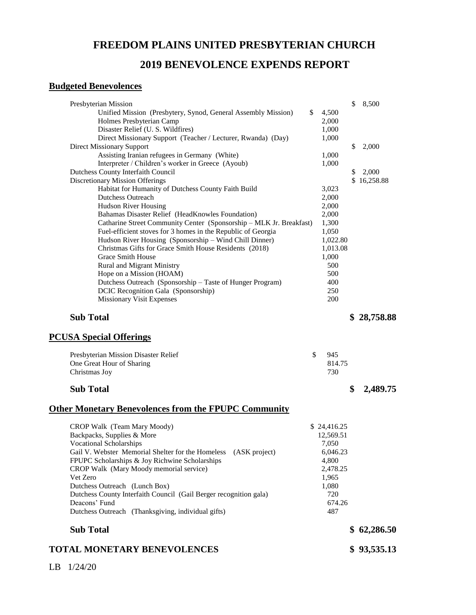## **FREEDOM PLAINS UNITED PRESBYTERIAN CHURCH**

### **2019 BENEVOLENCE EXPENDS REPORT**

#### **Budgeted Benevolences**

| Presbyterian Mission                                                |             | \$<br>8,500    |
|---------------------------------------------------------------------|-------------|----------------|
| Unified Mission (Presbytery, Synod, General Assembly Mission)       | \$<br>4,500 |                |
| Holmes Presbyterian Camp                                            | 2,000       |                |
| Disaster Relief (U. S. Wildfires)                                   | 1,000       |                |
| Direct Missionary Support (Teacher / Lecturer, Rwanda) (Day)        | 1,000       |                |
| <b>Direct Missionary Support</b>                                    |             | \$<br>2,000    |
| Assisting Iranian refugees in Germany (White)                       | 1,000       |                |
| Interpreter / Children's worker in Greece (Ayoub)                   | 1,000       |                |
| Dutchess County Interfaith Council                                  |             | \$<br>2,000    |
| <b>Discretionary Mission Offerings</b>                              |             | \$16,258.88    |
| Habitat for Humanity of Dutchess County Faith Build                 | 3,023       |                |
| <b>Dutchess Outreach</b>                                            | 2,000       |                |
| <b>Hudson River Housing</b>                                         | 2,000       |                |
| Bahamas Disaster Relief (HeadKnowles Foundation)                    | 2,000       |                |
| Catharine Street Community Center (Sponsorship - MLK Jr. Breakfast) | 1,300       |                |
| Fuel-efficient stoves for 3 homes in the Republic of Georgia        | 1,050       |                |
| Hudson River Housing (Sponsorship - Wind Chill Dinner)              | 1,022.80    |                |
| Christmas Gifts for Grace Smith House Residents (2018)              | 1,013.08    |                |
| Grace Smith House                                                   | 1,000       |                |
| <b>Rural and Migrant Ministry</b>                                   | 500         |                |
| Hope on a Mission (HOAM)                                            | 500         |                |
| Dutchess Outreach (Sponsorship - Taste of Hunger Program)           | 400         |                |
| DCIC Recognition Gala (Sponsorship)                                 | 250         |                |
| Missionary Visit Expenses                                           | 200         |                |
|                                                                     |             |                |
| <b>Sub Total</b>                                                    |             | \$28,758.88    |
| <b>PCUSA Special Offerings</b>                                      |             |                |
| Presbyterian Mission Disaster Relief                                | \$<br>945   |                |
| One Great Hour of Sharing                                           | 814.75      |                |
| Christmas Joy                                                       | 730         |                |
|                                                                     |             |                |
| <b>Sub Total</b>                                                    |             | \$<br>2,489.75 |
| <b>Other Monetary Benevolences from the FPUPC Community</b>         |             |                |
| CROP Walk (Team Mary Moody)                                         | \$24,416.25 |                |
| Backpacks, Supplies & More                                          | 12,569.51   |                |
| <b>Vocational Scholarships</b>                                      | 7,050       |                |
| Gail V. Webster Memorial Shelter for the Homeless<br>(ASK project)  | 6,046.23    |                |
| FPUPC Scholarships & Joy Richwine Scholarships                      | 4,800       |                |
| CROP Walk (Mary Moody memorial service)                             | 2,478.25    |                |
| Vet Zero                                                            | 1,965       |                |
| Dutchess Outreach (Lunch Box)                                       | 1,080       |                |
| Dutchess County Interfaith Council (Gail Berger recognition gala)   | 720         |                |
| Deacons' Fund                                                       | 674.26      |                |
| Dutchess Outreach (Thanksgiving, individual gifts)                  | 487         |                |
| <b>Sub Total</b>                                                    |             | \$62,286.50    |
| <b>TOTAL MONETARY BENEVOLENCES</b>                                  |             | \$93,535.13    |
|                                                                     |             |                |